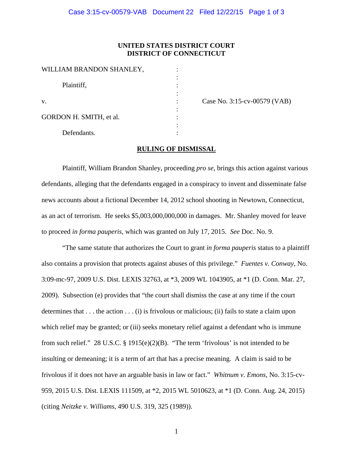## **UNITED STATES DISTRICT COURT DISTRICT OF CONNECTICUT**

| WILLIAM BRANDON SHANLEY, |  |
|--------------------------|--|
| Plaintiff,               |  |
|                          |  |
| $V_{\cdot}$              |  |
| GORDON H. SMITH, et al.  |  |
| Defendants.              |  |

Case No. 3:15-cv-00579 (VAB)

## **RULING OF DISMISSAL**

Plaintiff, William Brandon Shanley, proceeding *pro se*, brings this action against various defendants, alleging that the defendants engaged in a conspiracy to invent and disseminate false news accounts about a fictional December 14, 2012 school shooting in Newtown, Connecticut, as an act of terrorism. He seeks \$5,003,000,000,000 in damages. Mr. Shanley moved for leave to proceed *in forma pauperis*, which was granted on July 17, 2015. *See* Doc. No. 9.

"The same statute that authorizes the Court to grant *in forma pauperis* status to a plaintiff also contains a provision that protects against abuses of this privilege." *Fuentes v. Conway*, No. 3:09-mc-97, 2009 U.S. Dist. LEXIS 32763, at \*3, 2009 WL 1043905, at \*1 (D. Conn. Mar. 27, 2009). Subsection (e) provides that "the court shall dismiss the case at any time if the court determines that  $\dots$  the action  $\dots$  (i) is frivolous or malicious; (ii) fails to state a claim upon which relief may be granted; or (iii) seeks monetary relief against a defendant who is immune from such relief." 28 U.S.C. § 1915(e)(2)(B). "The term 'frivolous' is not intended to be insulting or demeaning; it is a term of art that has a precise meaning. A claim is said to be frivolous if it does not have an arguable basis in law or fact." *Whitnum v. Emons*, No. 3:15-cv-959, 2015 U.S. Dist. LEXIS 111509, at \*2, 2015 WL 5010623, at \*1 (D. Conn. Aug. 24, 2015) (citing *Neitzke v. Williams*, 490 U.S. 319, 325 (1989)).

1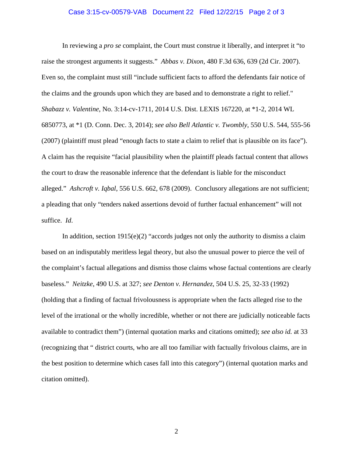## Case 3:15-cv-00579-VAB Document 22 Filed 12/22/15 Page 2 of 3

In reviewing a *pro se* complaint, the Court must construe it liberally, and interpret it "to raise the strongest arguments it suggests." *Abbas v. Dixon*, 480 F.3d 636, 639 (2d Cir. 2007). Even so, the complaint must still "include sufficient facts to afford the defendants fair notice of the claims and the grounds upon which they are based and to demonstrate a right to relief." *Shabazz v. Valentine*, No. 3:14-cv-1711, 2014 U.S. Dist. LEXIS 167220, at \*1-2, 2014 WL 6850773, at \*1 (D. Conn. Dec. 3, 2014); *see also Bell Atlantic v. Twombly*, 550 U.S. 544, 555-56 (2007) (plaintiff must plead "enough facts to state a claim to relief that is plausible on its face"). A claim has the requisite "facial plausibility when the plaintiff pleads factual content that allows the court to draw the reasonable inference that the defendant is liable for the misconduct alleged." *Ashcroft v. Iqbal*, 556 U.S. 662, 678 (2009). Conclusory allegations are not sufficient; a pleading that only "tenders naked assertions devoid of further factual enhancement" will not suffice. *Id*.

In addition, section  $1915(e)(2)$  "accords judges not only the authority to dismiss a claim based on an indisputably meritless legal theory, but also the unusual power to pierce the veil of the complaint's factual allegations and dismiss those claims whose factual contentions are clearly baseless." *Neitzke*, 490 U.S. at 327; *see Denton v. Hernandez*, 504 U.S. 25, 32-33 (1992) (holding that a finding of factual frivolousness is appropriate when the facts alleged rise to the level of the irrational or the wholly incredible, whether or not there are judicially noticeable facts available to contradict them") (internal quotation marks and citations omitted); *see also id.* at 33 (recognizing that " district courts, who are all too familiar with factually frivolous claims, are in the best position to determine which cases fall into this category") (internal quotation marks and citation omitted).